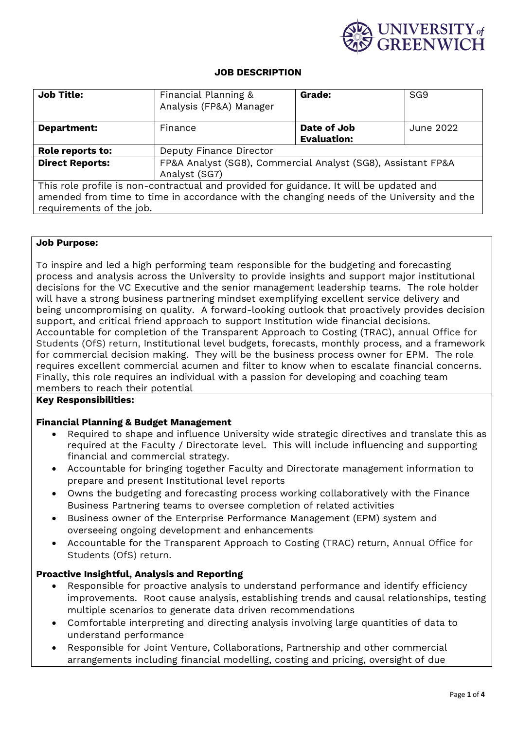

#### **JOB DESCRIPTION**

| <b>Job Title:</b>                                                                         | Financial Planning &<br>Analysis (FP&A) Manager              | <b>Grade:</b>      | SG <sub>9</sub> |  |
|-------------------------------------------------------------------------------------------|--------------------------------------------------------------|--------------------|-----------------|--|
| <b>Department:</b>                                                                        | Finance                                                      | Date of Job        | June 2022       |  |
|                                                                                           |                                                              | <b>Evaluation:</b> |                 |  |
| Role reports to:                                                                          | Deputy Finance Director                                      |                    |                 |  |
| <b>Direct Reports:</b>                                                                    | FP&A Analyst (SG8), Commercial Analyst (SG8), Assistant FP&A |                    |                 |  |
|                                                                                           | Analyst (SG7)                                                |                    |                 |  |
| This role profile is non-contractual and provided for guidance. It will be updated and    |                                                              |                    |                 |  |
| amended from time to time in accordance with the changing needs of the University and the |                                                              |                    |                 |  |
| requirements of the job.                                                                  |                                                              |                    |                 |  |

#### **Job Purpose:**

To inspire and led a high performing team responsible for the budgeting and forecasting process and analysis across the University to provide insights and support major institutional decisions for the VC Executive and the senior management leadership teams. The role holder will have a strong business partnering mindset exemplifying excellent service delivery and being uncompromising on quality. A forward-looking outlook that proactively provides decision support, and critical friend approach to support Institution wide financial decisions. Accountable for completion of the Transparent Approach to Costing (TRAC), annual Office for Students (OfS) return, Institutional level budgets, forecasts, monthly process, and a framework for commercial decision making. They will be the business process owner for EPM. The role requires excellent commercial acumen and filter to know when to escalate financial concerns. Finally, this role requires an individual with a passion for developing and coaching team members to reach their potential

## **Key Responsibilities:**

## **Financial Planning & Budget Management**

- Required to shape and influence University wide strategic directives and translate this as required at the Faculty / Directorate level. This will include influencing and supporting financial and commercial strategy.
- Accountable for bringing together Faculty and Directorate management information to prepare and present Institutional level reports
- Owns the budgeting and forecasting process working collaboratively with the Finance Business Partnering teams to oversee completion of related activities
- Business owner of the Enterprise Performance Management (EPM) system and overseeing ongoing development and enhancements
- Accountable for the Transparent Approach to Costing (TRAC) return, Annual Office for Students (OfS) return.

## **Proactive Insightful, Analysis and Reporting**

- Responsible for proactive analysis to understand performance and identify efficiency improvements. Root cause analysis, establishing trends and causal relationships, testing multiple scenarios to generate data driven recommendations
- Comfortable interpreting and directing analysis involving large quantities of data to understand performance
- Responsible for Joint Venture, Collaborations, Partnership and other commercial arrangements including financial modelling, costing and pricing, oversight of due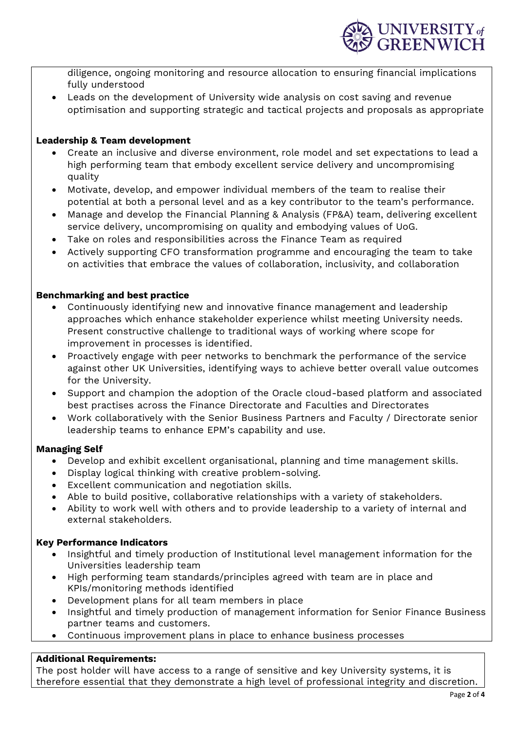diligence, ongoing monitoring and resource allocation to ensuring financial implications fully understood

• Leads on the development of University wide analysis on cost saving and revenue optimisation and supporting strategic and tactical projects and proposals as appropriate

## **Leadership & Team development**

- Create an inclusive and diverse environment, role model and set expectations to lead a high performing team that embody excellent service delivery and uncompromising quality
- Motivate, develop, and empower individual members of the team to realise their potential at both a personal level and as a key contributor to the team's performance.
- Manage and develop the Financial Planning & Analysis (FP&A) team, delivering excellent service delivery, uncompromising on quality and embodying values of UoG.
- Take on roles and responsibilities across the Finance Team as required
- Actively supporting CFO transformation programme and encouraging the team to take on activities that embrace the values of collaboration, inclusivity, and collaboration

## **Benchmarking and best practice**

- Continuously identifying new and innovative finance management and leadership approaches which enhance stakeholder experience whilst meeting University needs. Present constructive challenge to traditional ways of working where scope for improvement in processes is identified.
- Proactively engage with peer networks to benchmark the performance of the service against other UK Universities, identifying ways to achieve better overall value outcomes for the University.
- Support and champion the adoption of the Oracle cloud-based platform and associated best practises across the Finance Directorate and Faculties and Directorates
- Work collaboratively with the Senior Business Partners and Faculty / Directorate senior leadership teams to enhance EPM's capability and use.

## **Managing Self**

- Develop and exhibit excellent organisational, planning and time management skills.
- Display logical thinking with creative problem-solving.
- Excellent communication and negotiation skills.
- Able to build positive, collaborative relationships with a variety of stakeholders.
- Ability to work well with others and to provide leadership to a variety of internal and external stakeholders.

# **Key Performance Indicators**

- Insightful and timely production of Institutional level management information for the Universities leadership team
- High performing team standards/principles agreed with team are in place and KPIs/monitoring methods identified
- Development plans for all team members in place
- Insightful and timely production of management information for Senior Finance Business partner teams and customers.
- Continuous improvement plans in place to enhance business processes

# **Additional Requirements:**

The post holder will have access to a range of sensitive and key University systems, it is therefore essential that they demonstrate a high level of professional integrity and discretion.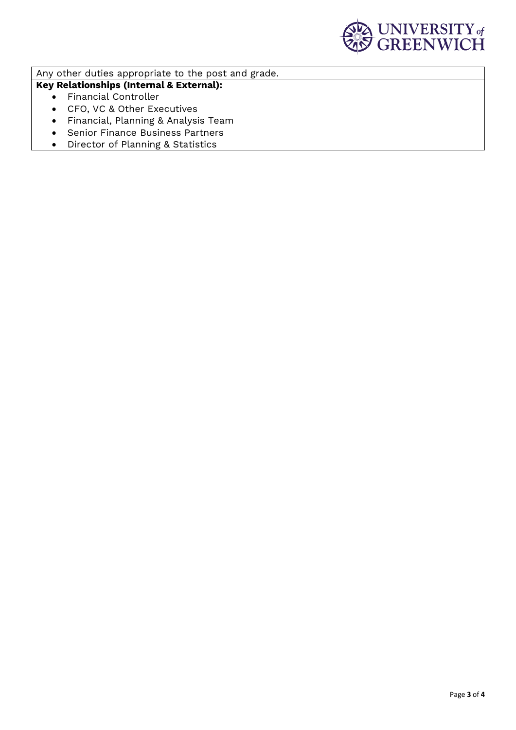

Any other duties appropriate to the post and grade.

**Key Relationships (Internal & External):**

- Financial Controller
- CFO, VC & Other Executives
- Financial, Planning & Analysis Team
- Senior Finance Business Partners
- Director of Planning & Statistics